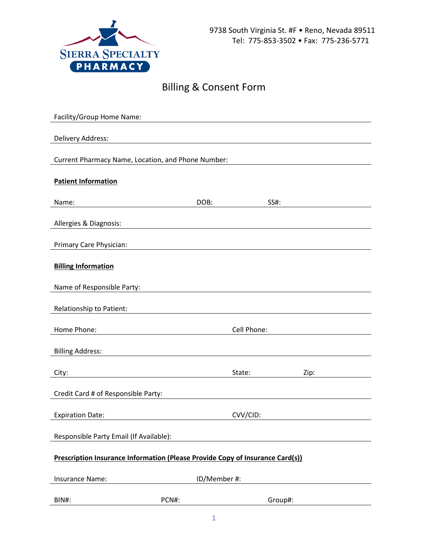

## Billing & Consent Form

| Facility/Group Home Name:                                                     |              |             |         |  |  |
|-------------------------------------------------------------------------------|--------------|-------------|---------|--|--|
|                                                                               |              |             |         |  |  |
| Delivery Address:                                                             |              |             |         |  |  |
| Current Pharmacy Name, Location, and Phone Number:                            |              |             |         |  |  |
|                                                                               |              |             |         |  |  |
| <b>Patient Information</b>                                                    |              |             |         |  |  |
| Name:                                                                         | DOB:         | SS#:        |         |  |  |
|                                                                               |              |             |         |  |  |
| Allergies & Diagnosis:                                                        |              |             |         |  |  |
|                                                                               |              |             |         |  |  |
| Primary Care Physician:                                                       |              |             |         |  |  |
| <b>Billing Information</b>                                                    |              |             |         |  |  |
|                                                                               |              |             |         |  |  |
| Name of Responsible Party:                                                    |              |             |         |  |  |
|                                                                               |              |             |         |  |  |
| Relationship to Patient:                                                      |              |             |         |  |  |
| Home Phone:                                                                   |              | Cell Phone: |         |  |  |
|                                                                               |              |             |         |  |  |
| <b>Billing Address:</b>                                                       |              |             |         |  |  |
| City:                                                                         |              | State:      | Zip:    |  |  |
|                                                                               |              |             |         |  |  |
| Credit Card # of Responsible Party:                                           |              |             |         |  |  |
| <b>Expiration Date:</b>                                                       |              | CVV/CID:    |         |  |  |
|                                                                               |              |             |         |  |  |
| Responsible Party Email (If Available):                                       |              |             |         |  |  |
|                                                                               |              |             |         |  |  |
| Prescription Insurance Information (Please Provide Copy of Insurance Card(s)) |              |             |         |  |  |
| <b>Insurance Name:</b>                                                        | ID/Member #: |             |         |  |  |
|                                                                               |              |             |         |  |  |
| BIN#:                                                                         | PCN#:        |             | Group#: |  |  |